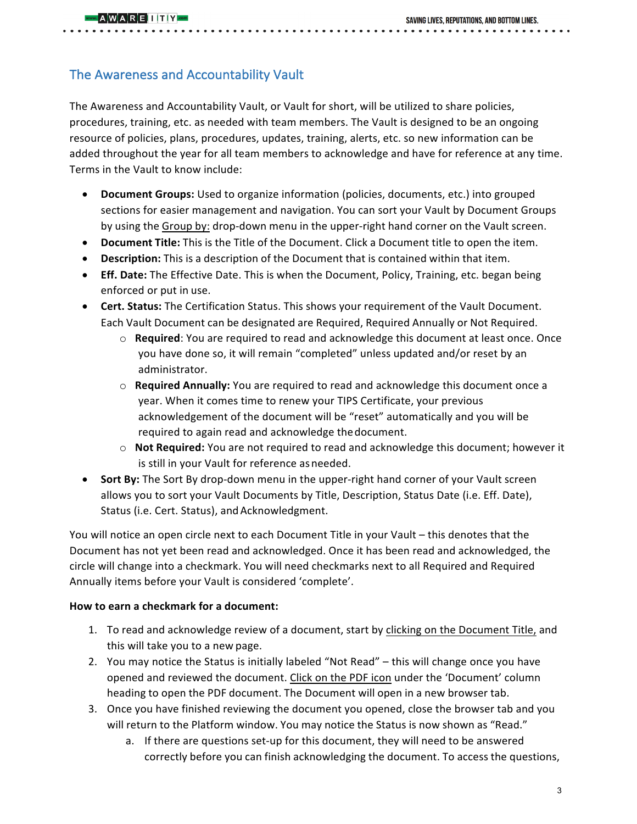## The Awareness and Accountability Vault

The Awareness and Accountability Vault, or Vault for short, will be utilized to share policies, procedures, training, etc. as needed with team members. The Vault is designed to be an ongoing resource of policies, plans, procedures, updates, training, alerts, etc. so new information can be added throughout the year for all team members to acknowledge and have for reference at any time. Terms in the Vault to know include:

- **Document Groups:** Used to organize information (policies, documents, etc.) into grouped sections for easier management and navigation. You can sort your Vault by Document Groups by using the Group by: drop-down menu in the upper-right hand corner on the Vault screen.
- **Document Title:** This is the Title of the Document. Click a Document title to open the item.
- **Description:** This is a description of the Document that is contained within that item.
- Eff. Date: The Effective Date. This is when the Document, Policy, Training, etc. began being enforced or put in use.
- Cert. Status: The Certification Status. This shows your requirement of the Vault Document. Each Vault Document can be designated are Required, Required Annually or Not Required.
	- **Required**: You are required to read and acknowledge this document at least once. Once you have done so, it will remain "completed" unless updated and/or reset by an administrator.
	- **Required Annually:** You are required to read and acknowledge this document once a year. When it comes time to renew your TIPS Certificate, your previous acknowledgement of the document will be "reset" automatically and you will be required to again read and acknowledge the document.
	- o **Not Required:** You are not required to read and acknowledge this document; however it is still in your Vault for reference as needed.
- **Sort By:** The Sort By drop-down menu in the upper-right hand corner of your Vault screen allows you to sort your Vault Documents by Title, Description, Status Date (i.e. Eff. Date), Status (i.e. Cert. Status), and Acknowledgment.

You will notice an open circle next to each Document Title in your Vault – this denotes that the Document has not yet been read and acknowledged. Once it has been read and acknowledged, the circle will change into a checkmark. You will need checkmarks next to all Required and Required Annually items before your Vault is considered 'complete'.

## How to earn a checkmark for a document:

- 1. To read and acknowledge review of a document, start by clicking on the Document Title, and this will take you to a new page.
- 2. You may notice the Status is initially labeled "Not Read"  $-$  this will change once you have opened and reviewed the document. Click on the PDF icon under the 'Document' column heading to open the PDF document. The Document will open in a new browser tab.
- 3. Once you have finished reviewing the document you opened, close the browser tab and you will return to the Platform window. You may notice the Status is now shown as "Read."
	- a. If there are questions set-up for this document, they will need to be answered correctly before you can finish acknowledging the document. To access the questions,